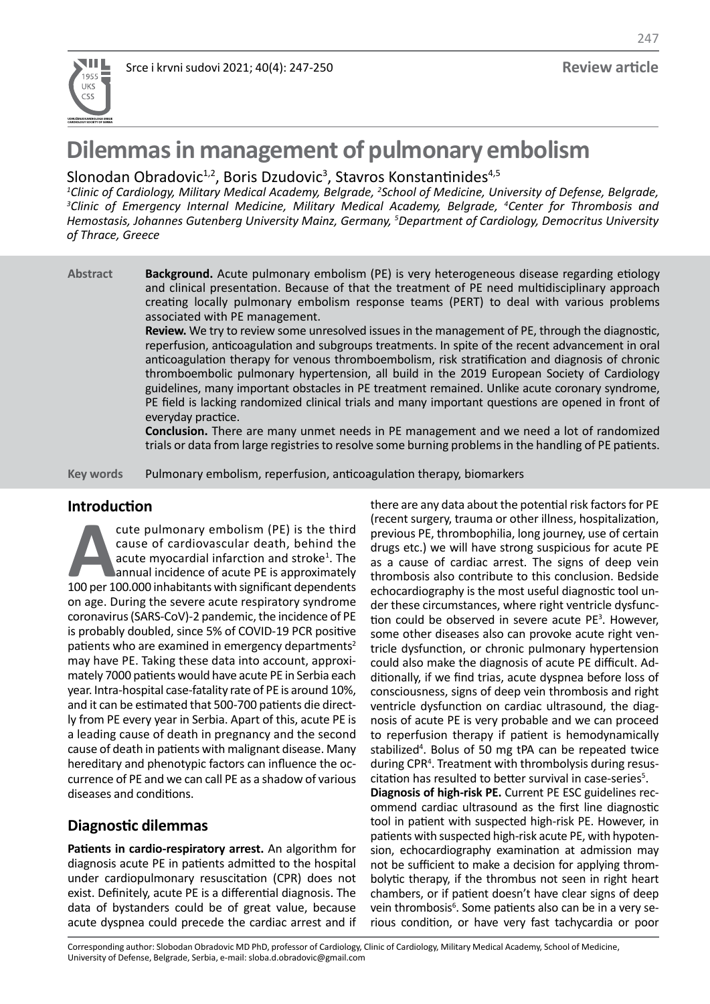

247

# **Dilemmas in management of pulmonary embolism**

## Slonodan Obradovic<sup>1,2</sup>, Boris Dzudovic<sup>3</sup>, Stavros Konstantinides<sup>4,5</sup>

<sup>1</sup>Clinic of Cardiology, Military Medical Academy, Belgrade, <sup>2</sup>School of Medicine, University of Defense, Belgrade, <sup>3</sup>Clinic of Emergency Internal Medicine, Military Medical Academy, Belgrade, <sup>4</sup>Center for Thrombosis and *Hemostasis, Johannes Gutenberg University Mainz, Germany, 5 Department of Cardiology, Democritus University of Thrace, Greece*

**Background.** Acute pulmonary embolism (PE) is very heterogeneous disease regarding etiology and clinical presentation. Because of that the treatment of PE need multidisciplinary approach creating locally pulmonary embolism response teams (PERT) to deal with various problems associated with PE management. **Abstract**

**Review.** We try to review some unresolved issues in the management of PE, through the diagnostic, reperfusion, anticoagulation and subgroups treatments. In spite of the recent advancement in oral anticoagulation therapy for venous thromboembolism, risk stratification and diagnosis of chronic thromboembolic pulmonary hypertension, all build in the 2019 European Society of Cardiology guidelines, many important obstacles in PE treatment remained. Unlike acute coronary syndrome, PE field is lacking randomized clinical trials and many important questions are opened in front of everyday practice.

**Conclusion.** There are many unmet needs in PE management and we need a lot of randomized trials or data from large registries to resolve some burning problems in the handling of PE patients.

Pulmonary embolism, reperfusion, anticoagulation therapy, biomarkers **Key words**

## **Introduction**

**Acute pulmonary embolism (PE) is the third cause of cardiovascular death, behind the acute myocardial infarction and stroke<sup>1</sup>. The annual incidence of acute PE is approximately 100 per 100.000 inhabitants with significan** cause of cardiovascular death, behind the acute myocardial infarction and stroke<sup>1</sup>. The annual incidence of acute PE is approximately on age. During the severe acute respiratory syndrome coronavirus (SARS-CoV)-2 pandemic, the incidence of PE is probably doubled, since 5% of COVID-19 PCR positive patients who are examined in emergency departments<sup>2</sup> may have PE. Taking these data into account, approximately 7000 patients would have acute PE in Serbia each year. Intra-hospital case-fatality rate of PE is around 10%, and it can be estimated that 500-700 patients die directly from PE every year in Serbia. Apart of this, acute PE is a leading cause of death in pregnancy and the second cause of death in patients with malignant disease. Many hereditary and phenotypic factors can influence the occurrence of PE and we can call PE as a shadow of various diseases and conditions.

## **Diagnostic dilemmas**

**Patients in cardio-respiratory arrest.** An algorithm for diagnosis acute PE in patients admitted to the hospital under cardiopulmonary resuscitation (CPR) does not exist. Definitely, acute PE is a differential diagnosis. The data of bystanders could be of great value, because acute dyspnea could precede the cardiac arrest and if there are any data about the potential risk factors for PE (recent surgery, trauma or other illness, hospitalization, previous PE, thrombophilia, long journey, use of certain drugs etc.) we will have strong suspicious for acute PE as a cause of cardiac arrest. The signs of deep vein thrombosis also contribute to this conclusion. Bedside echocardiography is the most useful diagnostic tool under these circumstances, where right ventricle dysfunction could be observed in severe acute  $PE<sup>3</sup>$ . However, some other diseases also can provoke acute right ventricle dysfunction, or chronic pulmonary hypertension could also make the diagnosis of acute PE difficult. Additionally, if we find trias, acute dyspnea before loss of consciousness, signs of deep vein thrombosis and right ventricle dysfunction on cardiac ultrasound, the diagnosis of acute PE is very probable and we can proceed to reperfusion therapy if patient is hemodynamically stabilized<sup>4</sup>. Bolus of 50 mg tPA can be repeated twice during CPR4 . Treatment with thrombolysis during resuscitation has resulted to better survival in case-series<sup>5</sup>.

**Diagnosis of high-risk PE.** Current PE ESC guidelines recommend cardiac ultrasound as the first line diagnostic tool in patient with suspected high-risk PE. However, in patients with suspected high-risk acute PE, with hypotension, echocardiography examination at admission may not be sufficient to make a decision for applying thrombolytic therapy, if the thrombus not seen in right heart chambers, or if patient doesn't have clear signs of deep vein thrombosis<sup>6</sup>. Some patients also can be in a very serious condition, or have very fast tachycardia or poor

Corresponding author: Slobodan Obradovic MD PhD, professor of Cardiology, Clinic of Cardiology, Military Medical Academy, School of Medicine, University of Defense, Belgrade, Serbia, e-mail: sloba.d.obradovic@gmail.com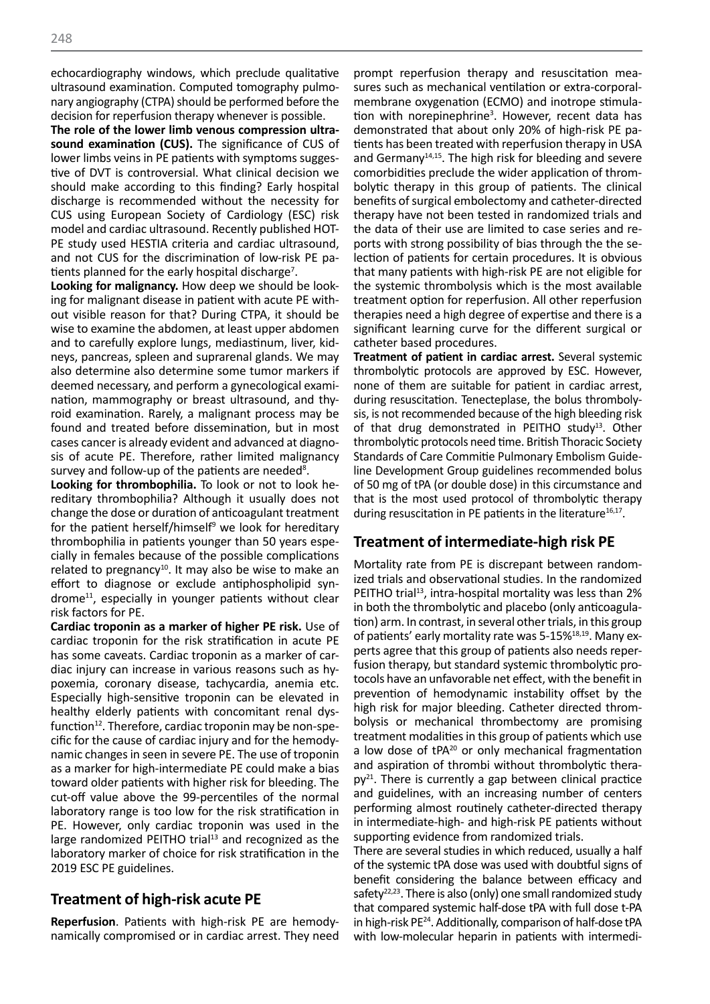echocardiography windows, which preclude qualitative ultrasound examination. Computed tomography pulmonary angiography (CTPA) should be performed before the decision for reperfusion therapy whenever is possible.

**The role of the lower limb venous compression ultrasound examination (CUS).** The significance of CUS of lower limbs veins in PE patients with symptoms suggestive of DVT is controversial. What clinical decision we should make according to this finding? Early hospital discharge is recommended without the necessity for CUS using European Society of Cardiology (ESC) risk model and cardiac ultrasound. Recently published HOT-PE study used HESTIA criteria and cardiac ultrasound, and not CUS for the discrimination of low-risk PE patients planned for the early hospital discharge<sup>7</sup>.

**Looking for malignancy.** How deep we should be looking for malignant disease in patient with acute PE without visible reason for that? During CTPA, it should be wise to examine the abdomen, at least upper abdomen and to carefully explore lungs, mediastinum, liver, kidneys, pancreas, spleen and suprarenal glands. We may also determine also determine some tumor markers if deemed necessary, and perform a gynecological examination, mammography or breast ultrasound, and thyroid examination. Rarely, a malignant process may be found and treated before dissemination, but in most cases cancer is already evident and advanced at diagnosis of acute PE. Therefore, rather limited malignancy survey and follow-up of the patients are needed<sup>8</sup>.

**Looking for thrombophilia.** To look or not to look hereditary thrombophilia? Although it usually does not change the dose or duration of anticoagulant treatment for the patient herself/himself<sup>9</sup> we look for hereditary thrombophilia in patients younger than 50 years especially in females because of the possible complications related to pregnancy<sup>10</sup>. It may also be wise to make an effort to diagnose or exclude antiphospholipid syn $d$ rome<sup>11</sup>, especially in younger patients without clear risk factors for PE.

**Cardiac troponin as a marker of higher PE risk.** Use of cardiac troponin for the risk stratification in acute PE has some caveats. Cardiac troponin as a marker of cardiac injury can increase in various reasons such as hypoxemia, coronary disease, tachycardia, anemia etc. Especially high-sensitive troponin can be elevated in healthy elderly patients with concomitant renal dysfunction $12$ . Therefore, cardiac troponin may be non-specific for the cause of cardiac injury and for the hemodynamic changes in seen in severe PE. The use of troponin as a marker for high-intermediate PE could make a bias toward older patients with higher risk for bleeding. The cut-off value above the 99-percentiles of the normal laboratory range is too low for the risk stratification in PE. However, only cardiac troponin was used in the large randomized PEITHO trial $13$  and recognized as the laboratory marker of choice for risk stratification in the 2019 ESC PE guidelines.

## **Treatment of high-risk acute PE**

**Reperfusion**. Patients with high-risk PE are hemodynamically compromised or in cardiac arrest. They need

prompt reperfusion therapy and resuscitation measures such as mechanical ventilation or extra-corporalmembrane oxygenation (ECMO) and inotrope stimulation with norepinephrine<sup>3</sup>. However, recent data has demonstrated that about only 20% of high-risk PE patients has been treated with reperfusion therapy in USA and Germany<sup>14,15</sup>. The high risk for bleeding and severe comorbidities preclude the wider application of thrombolytic therapy in this group of patients. The clinical benefits of surgical embolectomy and catheter-directed therapy have not been tested in randomized trials and the data of their use are limited to case series and reports with strong possibility of bias through the the selection of patients for certain procedures. It is obvious that many patients with high-risk PE are not eligible for the systemic thrombolysis which is the most available treatment option for reperfusion. All other reperfusion therapies need a high degree of expertise and there is a significant learning curve for the different surgical or catheter based procedures.

**Treatment of patient in cardiac arrest.** Several systemic thrombolytic protocols are approved by ESC. However, none of them are suitable for patient in cardiac arrest, during resuscitation. Tenecteplase, the bolus thrombolysis, is not recommended because of the high bleeding risk of that drug demonstrated in PEITHO study<sup>13</sup>. Other thrombolytic protocols need time. British Thoracic Society Standards of Care Commitie Pulmonary Embolism Guideline Development Group guidelines recommended bolus of 50 mg of tPA (or double dose) in this circumstance and that is the most used protocol of thrombolytic therapy during resuscitation in PE patients in the literature $^{16,17}$ .

## **Treatment of intermediate-high risk PE**

Mortality rate from PE is discrepant between randomized trials and observational studies. In the randomized PEITHO trial<sup>13</sup>, intra-hospital mortality was less than 2% in both the thrombolytic and placebo (only anticoagulation) arm. In contrast, in several other trials, in this group of patients' early mortality rate was 5-15%<sup>18,19</sup>. Many experts agree that this group of patients also needs reperfusion therapy, but standard systemic thrombolytic protocols have an unfavorable net effect, with the benefit in prevention of hemodynamic instability offset by the high risk for major bleeding. Catheter directed thrombolysis or mechanical thrombectomy are promising treatment modalities in this group of patients which use a low dose of tPA<sup>20</sup> or only mechanical fragmentation and aspiration of thrombi without thrombolytic thera $pv^{21}$ . There is currently a gap between clinical practice and guidelines, with an increasing number of centers performing almost routinely catheter-directed therapy in intermediate-high- and high-risk PE patients without supporting evidence from randomized trials.

There are several studies in which reduced, usually a half of the systemic tPA dose was used with doubtful signs of benefit considering the balance between efficacy and safety $22,23$ . There is also (only) one small randomized study that compared systemic half-dose tPA with full dose t-PA in high-risk PE24. Additionally, comparison of half-dose tPA with low-molecular heparin in patients with intermedi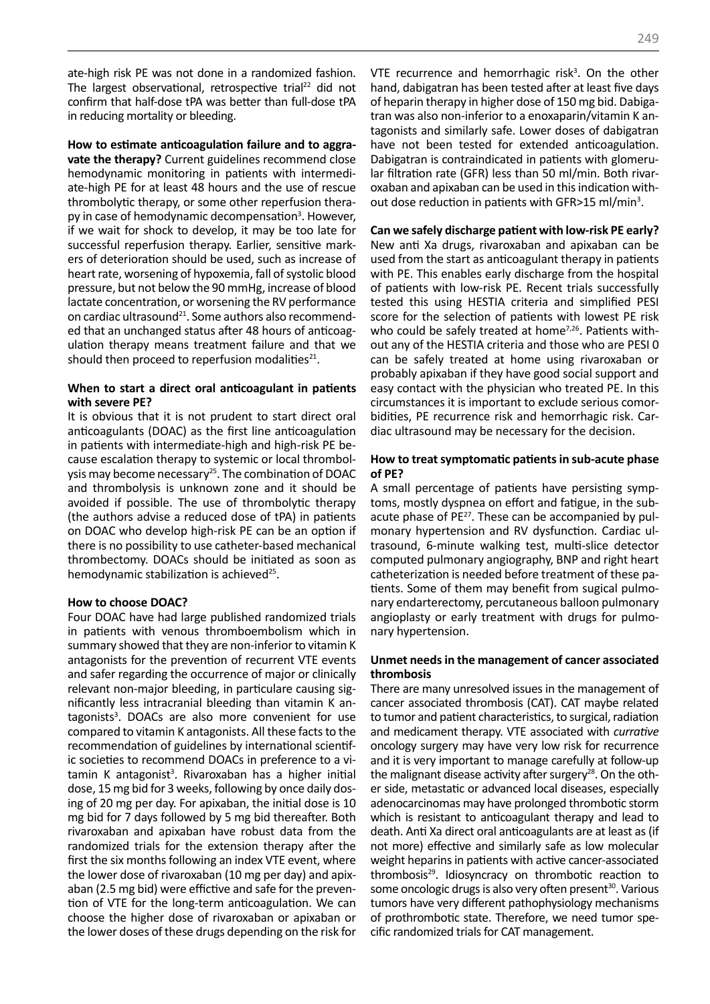ate-high risk PE was not done in a randomized fashion. The largest observational, retrospective trial<sup>22</sup> did not confirm that half-dose tPA was better than full-dose tPA in reducing mortality or bleeding.

**How to estimate anticoagulation failure and to aggravate the therapy?** Current guidelines recommend close hemodynamic monitoring in patients with intermediate-high PE for at least 48 hours and the use of rescue thrombolytic therapy, or some other reperfusion therapy in case of hemodynamic decompensation<sup>3</sup>. However, if we wait for shock to develop, it may be too late for successful reperfusion therapy. Earlier, sensitive markers of deterioration should be used, such as increase of heart rate, worsening of hypoxemia, fall of systolic blood pressure, but not below the 90 mmHg, increase of blood lactate concentration, or worsening the RV performance on cardiac ultrasound<sup>21</sup>. Some authors also recommended that an unchanged status after 48 hours of anticoagulation therapy means treatment failure and that we should then proceed to reperfusion modalities $^{21}$ .

#### **When to start a direct oral anticoagulant in patients with severe PE?**

It is obvious that it is not prudent to start direct oral anticoagulants (DOAC) as the first line anticoagulation in patients with intermediate-high and high-risk PE because escalation therapy to systemic or local thrombolysis may become necessary<sup>25</sup>. The combination of DOAC and thrombolysis is unknown zone and it should be avoided if possible. The use of thrombolytic therapy (the authors advise a reduced dose of tPA) in patients on DOAC who develop high-risk PE can be an option if there is no possibility to use catheter-based mechanical thrombectomy. DOACs should be initiated as soon as hemodynamic stabilization is achieved<sup>25</sup>.

#### **How to choose DOAC?**

Four DOAC have had large published randomized trials in patients with venous thromboembolism which in summary showed that they are non-inferior to vitamin K antagonists for the prevention of recurrent VTE events and safer regarding the occurrence of major or clinically relevant non-major bleeding, in particulare causing significantly less intracranial bleeding than vitamin K antagonists<sup>3</sup>. DOACs are also more convenient for use compared to vitamin K antagonists. All these facts to the recommendation of guidelines by international scientific societies to recommend DOACs in preference to a vitamin K antagonist<sup>3</sup>. Rivaroxaban has a higher initial dose, 15 mg bid for 3 weeks, following by once daily dosing of 20 mg per day. For apixaban, the initial dose is 10 mg bid for 7 days followed by 5 mg bid thereafter. Both rivaroxaban and apixaban have robust data from the randomized trials for the extension therapy after the first the six months following an index VTE event, where the lower dose of rivaroxaban (10 mg per day) and apixaban (2.5 mg bid) were effictive and safe for the prevention of VTE for the long-term anticoagulation. We can choose the higher dose of rivaroxaban or apixaban or the lower doses of these drugs depending on the risk for

VTE recurrence and hemorrhagic risk<sup>3</sup>. On the other hand, dabigatran has been tested after at least five days of heparin therapy in higher dose of 150 mg bid. Dabigatran was also non-inferior to a enoxaparin/vitamin K antagonists and similarly safe. Lower doses of dabigatran have not been tested for extended anticoagulation. Dabigatran is contraindicated in patients with glomerular filtration rate (GFR) less than 50 ml/min. Both rivaroxaban and apixaban can be used in this indication without dose reduction in patients with GFR>15 ml/min<sup>3</sup>.

# **Can we safely discharge patient with low-risk PE early?**

New anti Xa drugs, rivaroxaban and apixaban can be used from the start as anticoagulant therapy in patients with PE. This enables early discharge from the hospital of patients with low-risk PE. Recent trials successfully tested this using HESTIA criteria and simplified PESI score for the selection of patients with lowest PE risk who could be safely treated at home<sup>7,26</sup>. Patients without any of the HESTIA criteria and those who are PESI 0 can be safely treated at home using rivaroxaban or probably apixaban if they have good social support and easy contact with the physician who treated PE. In this circumstances it is important to exclude serious comorbidities, PE recurrence risk and hemorrhagic risk. Cardiac ultrasound may be necessary for the decision.

#### **How to treat symptomatic patients in sub-acute phase of PE?**

A small percentage of patients have persisting symptoms, mostly dyspnea on effort and fatigue, in the subacute phase of PE<sup>27</sup>. These can be accompanied by pulmonary hypertension and RV dysfunction. Cardiac ultrasound, 6-minute walking test, multi-slice detector computed pulmonary angiography, BNP and right heart catheterization is needed before treatment of these patients. Some of them may benefit from sugical pulmonary endarterectomy, percutaneous balloon pulmonary angioplasty or early treatment with drugs for pulmonary hypertension.

#### **Unmet needs in the management of cancer associated thrombosis**

There are many unresolved issues in the management of cancer associated thrombosis (CAT). CAT maybe related to tumor and patient characteristics, to surgical, radiation and medicament therapy. VTE associated with *currative* oncology surgery may have very low risk for recurrence and it is very important to manage carefully at follow-up the malignant disease activity after surgery<sup>28</sup>. On the other side, metastatic or advanced local diseases, especially adenocarcinomas may have prolonged thrombotic storm which is resistant to anticoagulant therapy and lead to death. Anti Xa direct oral anticoagulants are at least as (if not more) effective and similarly safe as low molecular weight heparins in patients with active cancer-associated thrombosis29. Idiosyncracy on thrombotic reaction to some oncologic drugs is also very often present<sup>30</sup>. Various tumors have very different pathophysiology mechanisms of prothrombotic state. Therefore, we need tumor specific randomized trials for CAT management.